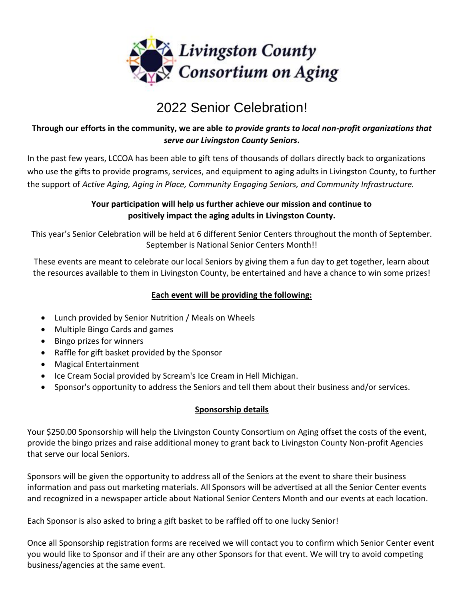

# 2022 Senior Celebration!

### **Through our efforts in the community, we are able** *to provide grants to local non-profit organizations that serve our Livingston County Seniors***.**

In the past few years, LCCOA has been able to gift tens of thousands of dollars directly back to organizations who use the gifts to provide programs, services, and equipment to aging adults in Livingston County, to further the support of *Active Aging, Aging in Place, Community Engaging Seniors, and Community Infrastructure.* 

### **Your participation will help us further achieve our mission and continue to positively impact the aging adults in Livingston County.**

This year's Senior Celebration will be held at 6 different Senior Centers throughout the month of September. September is National Senior Centers Month!!

These events are meant to celebrate our local Seniors by giving them a fun day to get together, learn about the resources available to them in Livingston County, be entertained and have a chance to win some prizes!

#### **Each event will be providing the following:**

- Lunch provided by Senior Nutrition / Meals on Wheels
- Multiple Bingo Cards and games
- Bingo prizes for winners
- Raffle for gift basket provided by the Sponsor
- Magical Entertainment
- Ice Cream Social provided by Scream's Ice Cream in Hell Michigan.
- Sponsor's opportunity to address the Seniors and tell them about their business and/or services.

#### **Sponsorship details**

Your \$250.00 Sponsorship will help the Livingston County Consortium on Aging offset the costs of the event, provide the bingo prizes and raise additional money to grant back to Livingston County Non-profit Agencies that serve our local Seniors.

Sponsors will be given the opportunity to address all of the Seniors at the event to share their business information and pass out marketing materials. All Sponsors will be advertised at all the Senior Center events and recognized in a newspaper article about National Senior Centers Month and our events at each location.

Each Sponsor is also asked to bring a gift basket to be raffled off to one lucky Senior!

Once all Sponsorship registration forms are received we will contact you to confirm which Senior Center event you would like to Sponsor and if their are any other Sponsors for that event. We will try to avoid competing business/agencies at the same event.